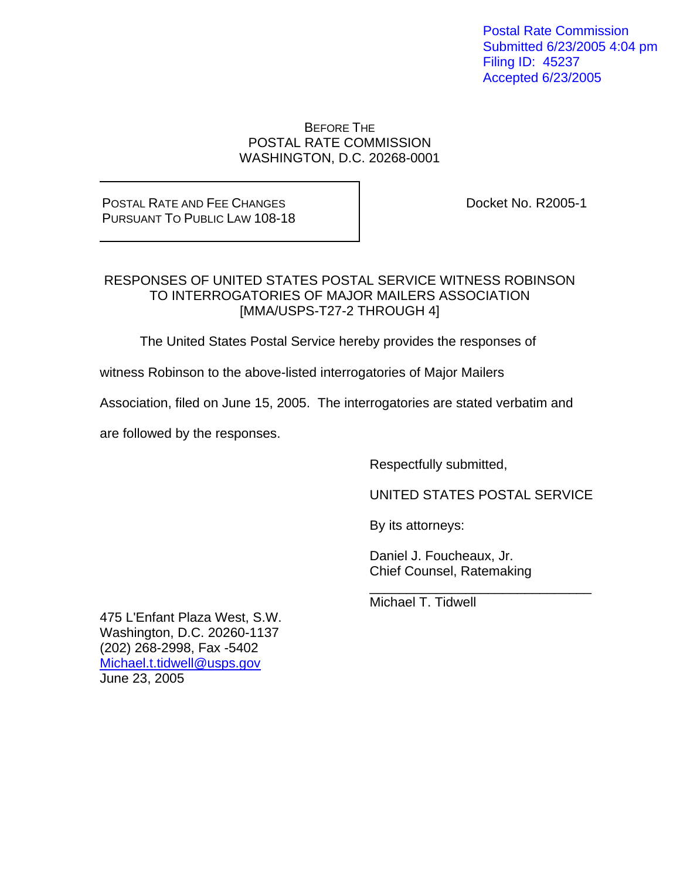Postal Rate Commission Submitted 6/23/2005 4:04 pm Filing ID: 45237 Accepted 6/23/2005

#### BEFORE THE POSTAL RATE COMMISSION WASHINGTON, D.C. 20268-0001

## POSTAL RATE AND FEE CHANGES PURSUANT TO PUBLIC LAW 108-18

Docket No. R2005-1

#### RESPONSES OF UNITED STATES POSTAL SERVICE WITNESS ROBINSON TO INTERROGATORIES OF MAJOR MAILERS ASSOCIATION [MMA/USPS-T27-2 THROUGH 4]

The United States Postal Service hereby provides the responses of

witness Robinson to the above-listed interrogatories of Major Mailers

Association, filed on June 15, 2005. The interrogatories are stated verbatim and

 $\_$ 

are followed by the responses.

Respectfully submitted,

UNITED STATES POSTAL SERVICE

By its attorneys:

 Daniel J. Foucheaux, Jr. Chief Counsel, Ratemaking

Michael T. Tidwell

475 L'Enfant Plaza West, S.W. Washington, D.C. 20260-1137 (202) 268-2998, Fax -5402 Michael.t.tidwell@usps.gov June 23, 2005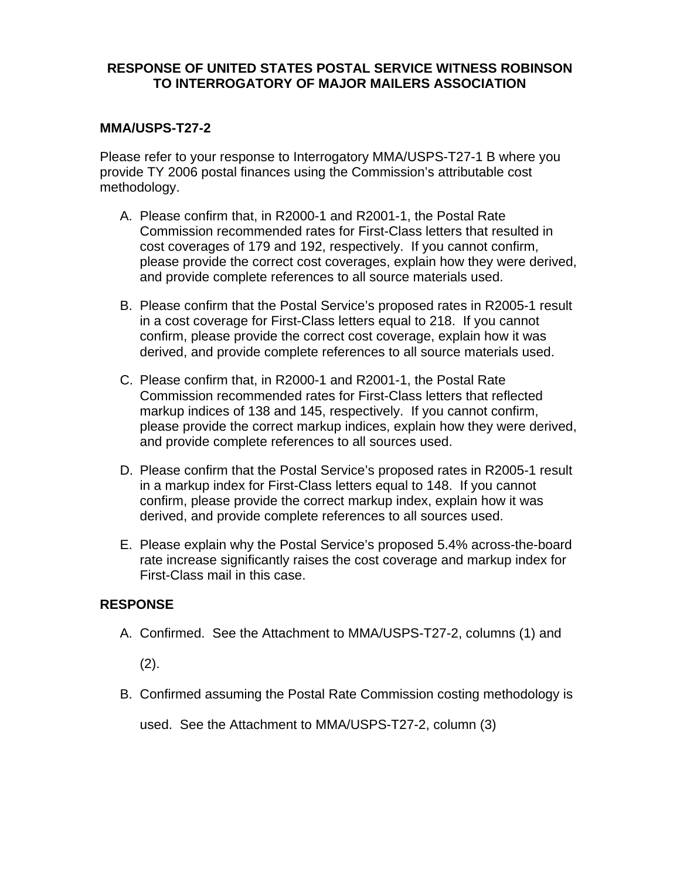#### **MMA/USPS-T27-2**

Please refer to your response to Interrogatory MMA/USPS-T27-1 B where you provide TY 2006 postal finances using the Commission's attributable cost methodology.

- A. Please confirm that, in R2000-1 and R2001-1, the Postal Rate Commission recommended rates for First-Class letters that resulted in cost coverages of 179 and 192, respectively. If you cannot confirm, please provide the correct cost coverages, explain how they were derived, and provide complete references to all source materials used.
- B. Please confirm that the Postal Service's proposed rates in R2005-1 result in a cost coverage for First-Class letters equal to 218. If you cannot confirm, please provide the correct cost coverage, explain how it was derived, and provide complete references to all source materials used.
- C. Please confirm that, in R2000-1 and R2001-1, the Postal Rate Commission recommended rates for First-Class letters that reflected markup indices of 138 and 145, respectively. If you cannot confirm, please provide the correct markup indices, explain how they were derived, and provide complete references to all sources used.
- D. Please confirm that the Postal Service's proposed rates in R2005-1 result in a markup index for First-Class letters equal to 148. If you cannot confirm, please provide the correct markup index, explain how it was derived, and provide complete references to all sources used.
- E. Please explain why the Postal Service's proposed 5.4% across-the-board rate increase significantly raises the cost coverage and markup index for First-Class mail in this case.

#### **RESPONSE**

A. Confirmed. See the Attachment to MMA/USPS-T27-2, columns (1) and

(2).

B. Confirmed assuming the Postal Rate Commission costing methodology is

used. See the Attachment to MMA/USPS-T27-2, column (3)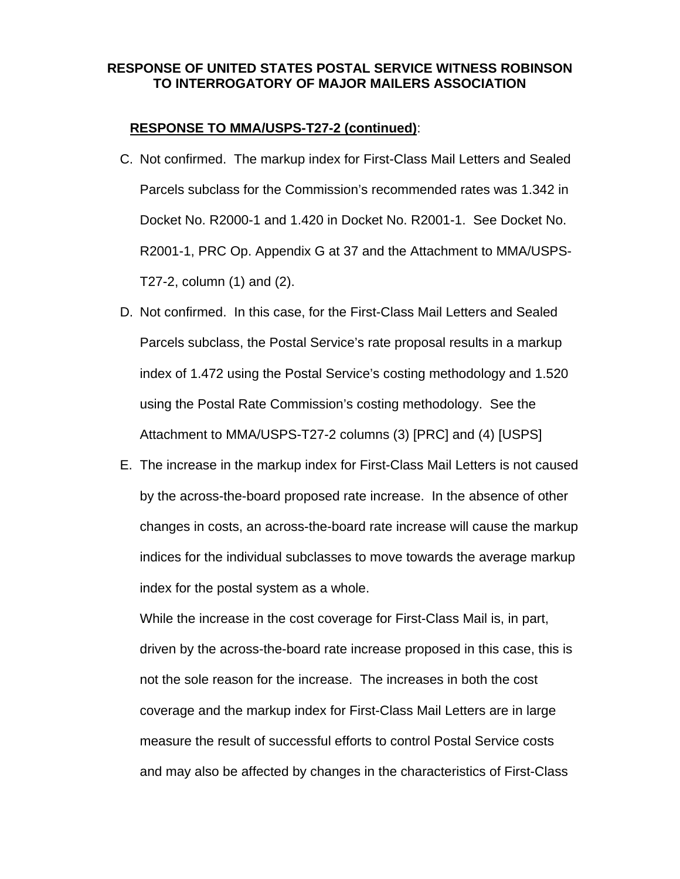#### **RESPONSE TO MMA/USPS-T27-2 (continued)**:

- C. Not confirmed. The markup index for First-Class Mail Letters and Sealed Parcels subclass for the Commission's recommended rates was 1.342 in Docket No. R2000-1 and 1.420 in Docket No. R2001-1. See Docket No. R2001-1, PRC Op. Appendix G at 37 and the Attachment to MMA/USPS-T27-2, column (1) and (2).
- D. Not confirmed. In this case, for the First-Class Mail Letters and Sealed Parcels subclass, the Postal Service's rate proposal results in a markup index of 1.472 using the Postal Service's costing methodology and 1.520 using the Postal Rate Commission's costing methodology. See the Attachment to MMA/USPS-T27-2 columns (3) [PRC] and (4) [USPS]
- E. The increase in the markup index for First-Class Mail Letters is not caused by the across-the-board proposed rate increase. In the absence of other changes in costs, an across-the-board rate increase will cause the markup indices for the individual subclasses to move towards the average markup index for the postal system as a whole.

 While the increase in the cost coverage for First-Class Mail is, in part, driven by the across-the-board rate increase proposed in this case, this is not the sole reason for the increase. The increases in both the cost coverage and the markup index for First-Class Mail Letters are in large measure the result of successful efforts to control Postal Service costs and may also be affected by changes in the characteristics of First-Class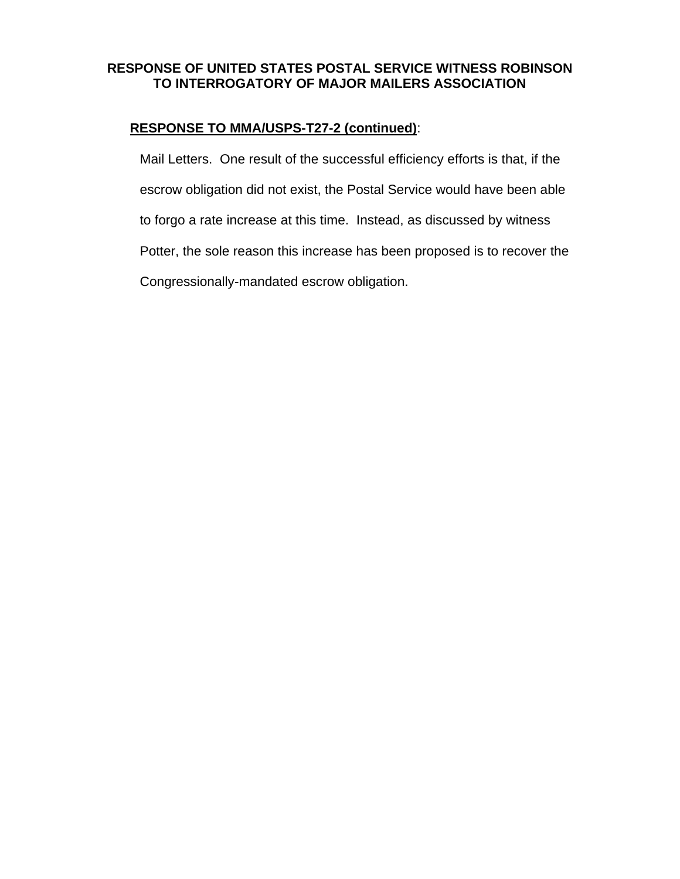## **RESPONSE TO MMA/USPS-T27-2 (continued)**:

Mail Letters. One result of the successful efficiency efforts is that, if the escrow obligation did not exist, the Postal Service would have been able to forgo a rate increase at this time. Instead, as discussed by witness Potter, the sole reason this increase has been proposed is to recover the Congressionally-mandated escrow obligation.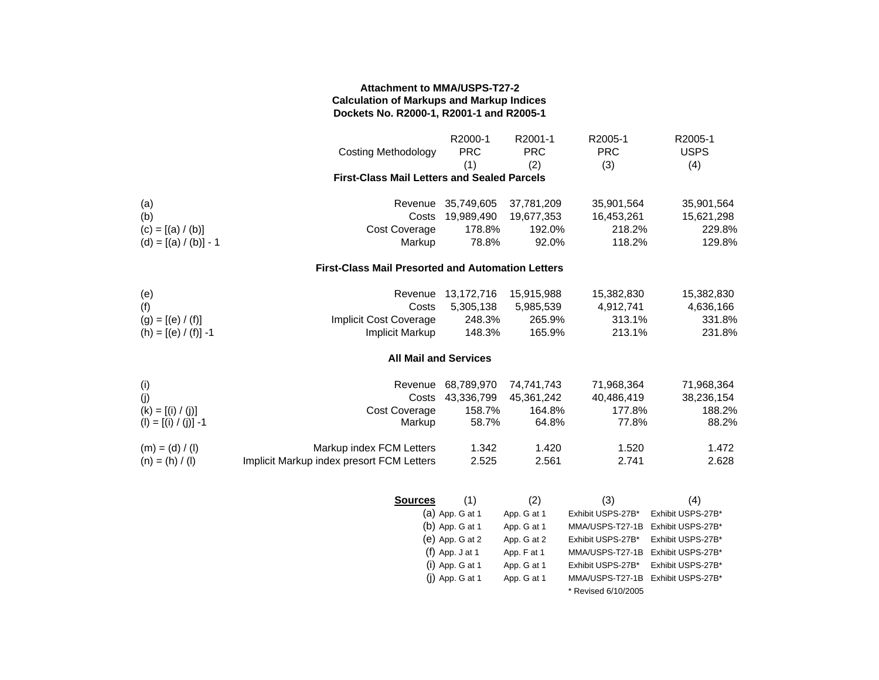#### **Attachment to MMA/USPS-T27-2 Calculation of Markups and Markup Indices Dockets No. R2000-1, R2001-1 and R2005-1**

|                                                    | <b>Costing Methodology</b>                               | R2000-1<br><b>PRC</b><br>(1) | R2001-1<br><b>PRC</b><br>(2) | R2005-1<br><b>PRC</b><br>(3) | R2005-1<br><b>USPS</b><br>(4) |
|----------------------------------------------------|----------------------------------------------------------|------------------------------|------------------------------|------------------------------|-------------------------------|
| <b>First-Class Mail Letters and Sealed Parcels</b> |                                                          |                              |                              |                              |                               |
| (a)                                                | Revenue                                                  | 35,749,605                   | 37,781,209                   | 35,901,564                   | 35,901,564                    |
| (b)                                                | Costs                                                    | 19,989,490                   | 19,677,353                   | 16,453,261                   | 15,621,298                    |
| $(c) = [(a) / (b)]$                                | Cost Coverage                                            | 178.8%                       | 192.0%                       | 218.2%                       | 229.8%                        |
| $(d) = [(a) / (b)] - 1$                            | Markup                                                   | 78.8%                        | 92.0%                        | 118.2%                       | 129.8%                        |
|                                                    | <b>First-Class Mail Presorted and Automation Letters</b> |                              |                              |                              |                               |
| (e)                                                | Revenue                                                  | 13,172,716                   | 15,915,988                   | 15,382,830                   | 15,382,830                    |
| (f)                                                | Costs                                                    | 5,305,138                    | 5,985,539                    | 4,912,741                    | 4,636,166                     |
| $(g) = [(e) / (f)]$                                | <b>Implicit Cost Coverage</b>                            | 248.3%                       | 265.9%                       | 313.1%                       | 331.8%                        |
| (h) = $[(e) / (f)] - 1$                            | <b>Implicit Markup</b>                                   | 148.3%                       | 165.9%                       | 213.1%                       | 231.8%                        |
| <b>All Mail and Services</b>                       |                                                          |                              |                              |                              |                               |
| (i)                                                | Revenue                                                  | 68,789,970                   | 74,741,743                   | 71,968,364                   | 71,968,364                    |
| (j)                                                | Costs                                                    | 43,336,799                   | 45,361,242                   | 40,486,419                   | 38,236,154                    |
| $(k) = [(i) / (j)]$                                | <b>Cost Coverage</b>                                     | 158.7%                       | 164.8%                       | 177.8%                       | 188.2%                        |
| $(I) = [(i) / (j)] - 1$                            | Markup                                                   | 58.7%                        | 64.8%                        | 77.8%                        | 88.2%                         |
| $(m) = (d) / (l)$                                  | Markup index FCM Letters                                 | 1.342                        | 1.420                        | 1.520                        | 1.472                         |
| $(n) = (h) / (l)$                                  | Implicit Markup index presort FCM Letters                | 2.525                        | 2.561                        | 2.741                        | 2.628                         |
|                                                    |                                                          |                              |                              |                              |                               |
|                                                    | <b>Sources</b>                                           | (1)                          | (2)                          | (3)                          | (4)                           |
|                                                    |                                                          | $(a)$ App. G at 1            | App. G at 1                  | Exhibit USPS-27B*            | Exhibit USPS-27B*             |
|                                                    |                                                          | $(b)$ App. G at 1            | App. G at 1                  | MMA/USPS-T27-1B              | Exhibit USPS-27B*             |
|                                                    |                                                          | $(e)$ App. G at 2            | App. G at 2                  | Exhibit USPS-27B*            | Exhibit USPS-27B*             |
|                                                    |                                                          | $(f)$ App. J at 1            | App. F at 1                  | MMA/USPS-T27-1B              | Exhibit USPS-27B*             |
|                                                    |                                                          | (i) App. G at 1              | App. G at 1                  | Exhibit USPS-27B*            | Exhibit USPS-27B*             |
|                                                    |                                                          | $(j)$ App. G at 1            | App. G at 1                  | MMA/USPS-T27-1B              | Exhibit USPS-27B*             |

\* Revised 6/10/2005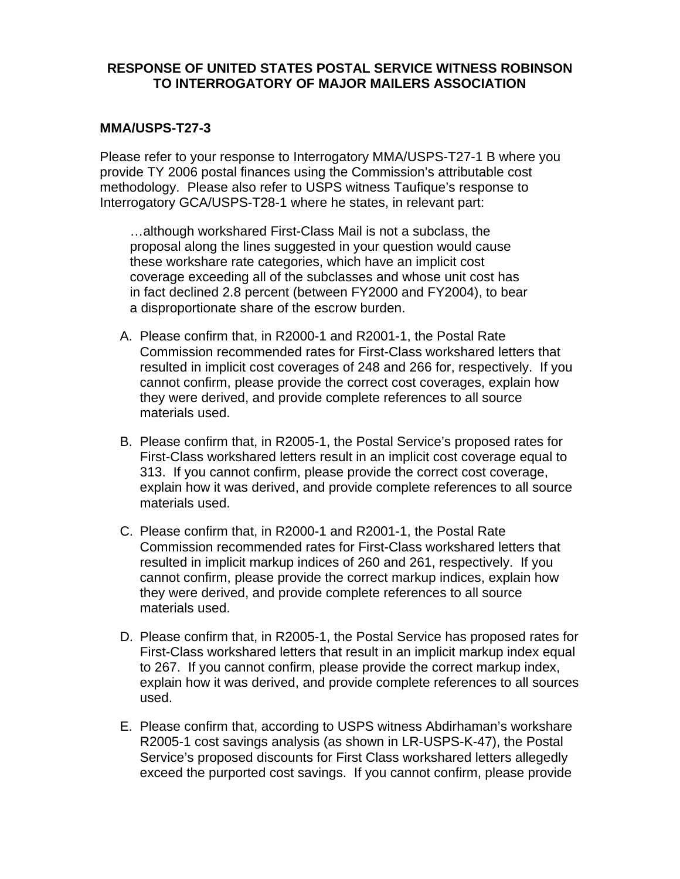#### **MMA/USPS-T27-3**

Please refer to your response to Interrogatory MMA/USPS-T27-1 B where you provide TY 2006 postal finances using the Commission's attributable cost methodology. Please also refer to USPS witness Taufique's response to Interrogatory GCA/USPS-T28-1 where he states, in relevant part:

…although workshared First-Class Mail is not a subclass, the proposal along the lines suggested in your question would cause these workshare rate categories, which have an implicit cost coverage exceeding all of the subclasses and whose unit cost has in fact declined 2.8 percent (between FY2000 and FY2004), to bear a disproportionate share of the escrow burden.

- A. Please confirm that, in R2000-1 and R2001-1, the Postal Rate Commission recommended rates for First-Class workshared letters that resulted in implicit cost coverages of 248 and 266 for, respectively. If you cannot confirm, please provide the correct cost coverages, explain how they were derived, and provide complete references to all source materials used.
- B. Please confirm that, in R2005-1, the Postal Service's proposed rates for First-Class workshared letters result in an implicit cost coverage equal to 313. If you cannot confirm, please provide the correct cost coverage, explain how it was derived, and provide complete references to all source materials used.
- C. Please confirm that, in R2000-1 and R2001-1, the Postal Rate Commission recommended rates for First-Class workshared letters that resulted in implicit markup indices of 260 and 261, respectively. If you cannot confirm, please provide the correct markup indices, explain how they were derived, and provide complete references to all source materials used.
- D. Please confirm that, in R2005-1, the Postal Service has proposed rates for First-Class workshared letters that result in an implicit markup index equal to 267. If you cannot confirm, please provide the correct markup index, explain how it was derived, and provide complete references to all sources used.
- E. Please confirm that, according to USPS witness Abdirhaman's workshare R2005-1 cost savings analysis (as shown in LR-USPS-K-47), the Postal Service's proposed discounts for First Class workshared letters allegedly exceed the purported cost savings. If you cannot confirm, please provide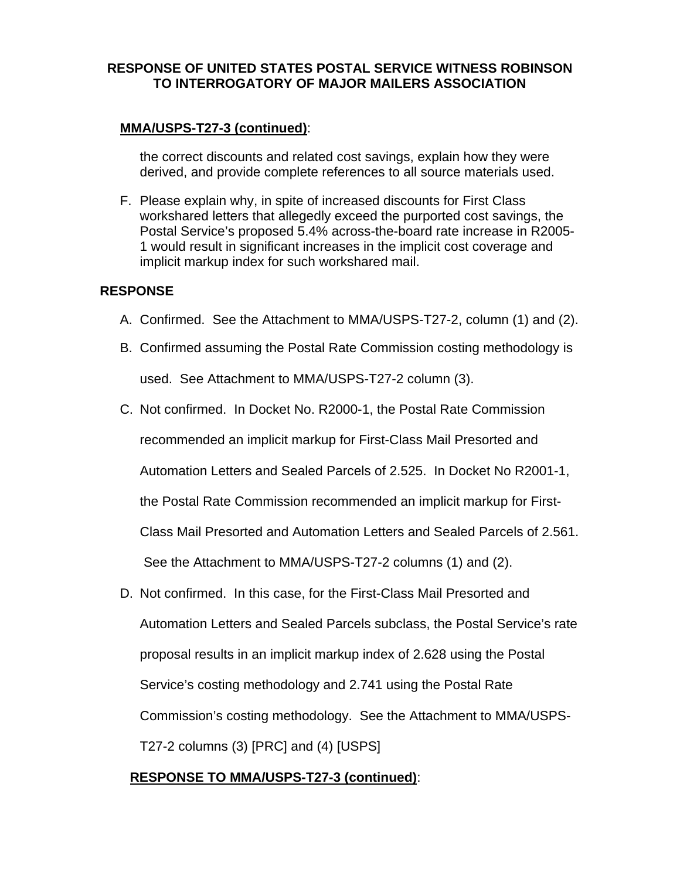## **MMA/USPS-T27-3 (continued)**:

 the correct discounts and related cost savings, explain how they were derived, and provide complete references to all source materials used.

F. Please explain why, in spite of increased discounts for First Class workshared letters that allegedly exceed the purported cost savings, the Postal Service's proposed 5.4% across-the-board rate increase in R2005- 1 would result in significant increases in the implicit cost coverage and implicit markup index for such workshared mail.

#### **RESPONSE**

- A. Confirmed. See the Attachment to MMA/USPS-T27-2, column (1) and (2).
- B. Confirmed assuming the Postal Rate Commission costing methodology is used. See Attachment to MMA/USPS-T27-2 column (3).
- C. Not confirmed. In Docket No. R2000-1, the Postal Rate Commission

recommended an implicit markup for First-Class Mail Presorted and

Automation Letters and Sealed Parcels of 2.525. In Docket No R2001-1,

the Postal Rate Commission recommended an implicit markup for First-

Class Mail Presorted and Automation Letters and Sealed Parcels of 2.561.

See the Attachment to MMA/USPS-T27-2 columns (1) and (2).

D. Not confirmed. In this case, for the First-Class Mail Presorted and Automation Letters and Sealed Parcels subclass, the Postal Service's rate proposal results in an implicit markup index of 2.628 using the Postal Service's costing methodology and 2.741 using the Postal Rate Commission's costing methodology. See the Attachment to MMA/USPS-T27-2 columns (3) [PRC] and (4) [USPS]

# **RESPONSE TO MMA/USPS-T27-3 (continued)**: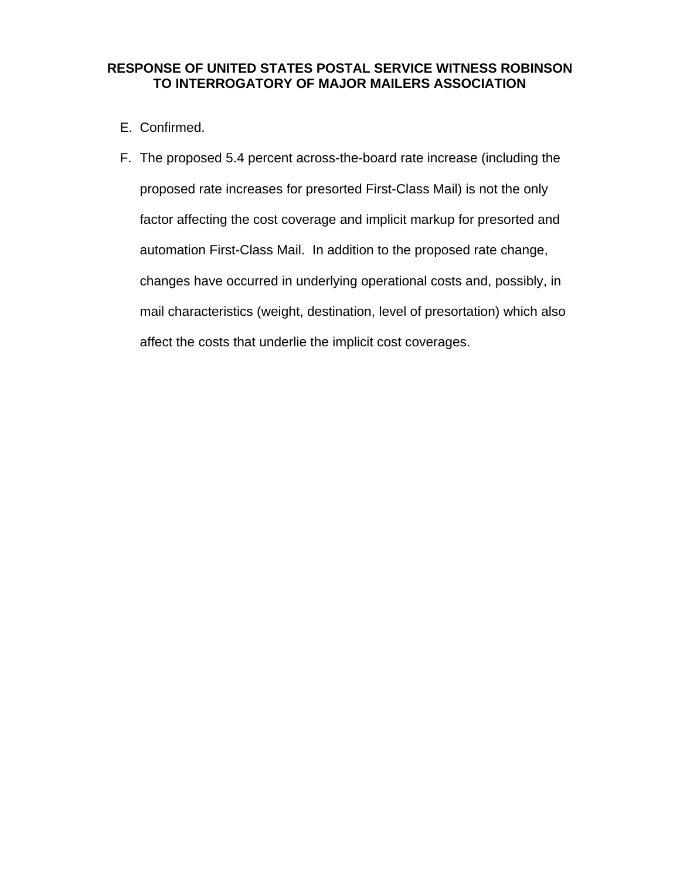- E. Confirmed.
- F. The proposed 5.4 percent across-the-board rate increase (including the proposed rate increases for presorted First-Class Mail) is not the only factor affecting the cost coverage and implicit markup for presorted and automation First-Class Mail. In addition to the proposed rate change, changes have occurred in underlying operational costs and, possibly, in mail characteristics (weight, destination, level of presortation) which also affect the costs that underlie the implicit cost coverages.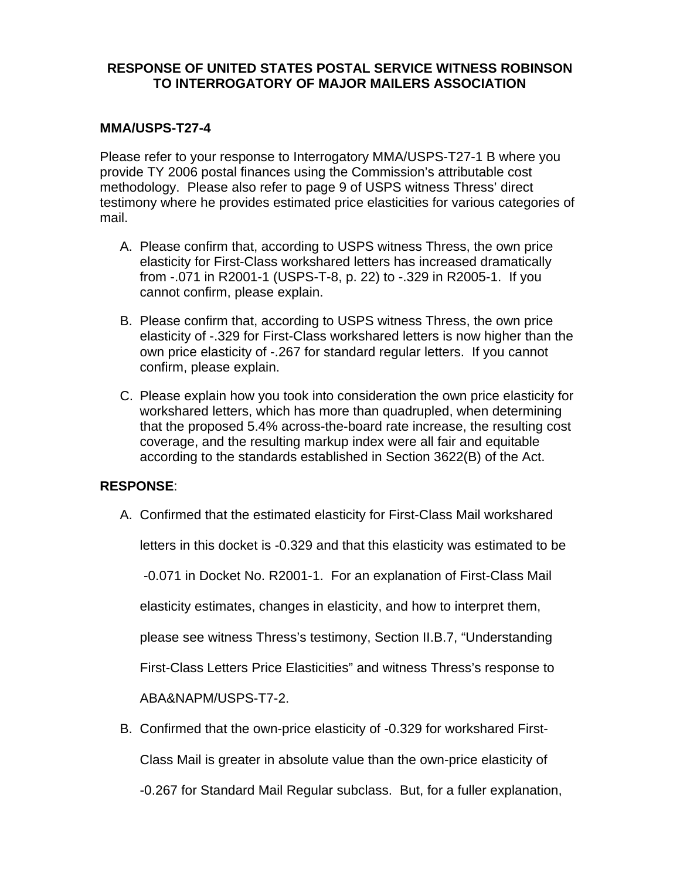#### **MMA/USPS-T27-4**

Please refer to your response to Interrogatory MMA/USPS-T27-1 B where you provide TY 2006 postal finances using the Commission's attributable cost methodology. Please also refer to page 9 of USPS witness Thress' direct testimony where he provides estimated price elasticities for various categories of mail.

- A. Please confirm that, according to USPS witness Thress, the own price elasticity for First-Class workshared letters has increased dramatically from -.071 in R2001-1 (USPS-T-8, p. 22) to -.329 in R2005-1. If you cannot confirm, please explain.
- B. Please confirm that, according to USPS witness Thress, the own price elasticity of -.329 for First-Class workshared letters is now higher than the own price elasticity of -.267 for standard regular letters. If you cannot confirm, please explain.
- C. Please explain how you took into consideration the own price elasticity for workshared letters, which has more than quadrupled, when determining that the proposed 5.4% across-the-board rate increase, the resulting cost coverage, and the resulting markup index were all fair and equitable according to the standards established in Section 3622(B) of the Act.

#### **RESPONSE**:

A. Confirmed that the estimated elasticity for First-Class Mail workshared

letters in this docket is -0.329 and that this elasticity was estimated to be

-0.071 in Docket No. R2001-1. For an explanation of First-Class Mail

elasticity estimates, changes in elasticity, and how to interpret them,

please see witness Thress's testimony, Section II.B.7, "Understanding

First-Class Letters Price Elasticities" and witness Thress's response to

ABA&NAPM/USPS-T7-2.

B. Confirmed that the own-price elasticity of -0.329 for workshared First-

Class Mail is greater in absolute value than the own-price elasticity of

-0.267 for Standard Mail Regular subclass. But, for a fuller explanation,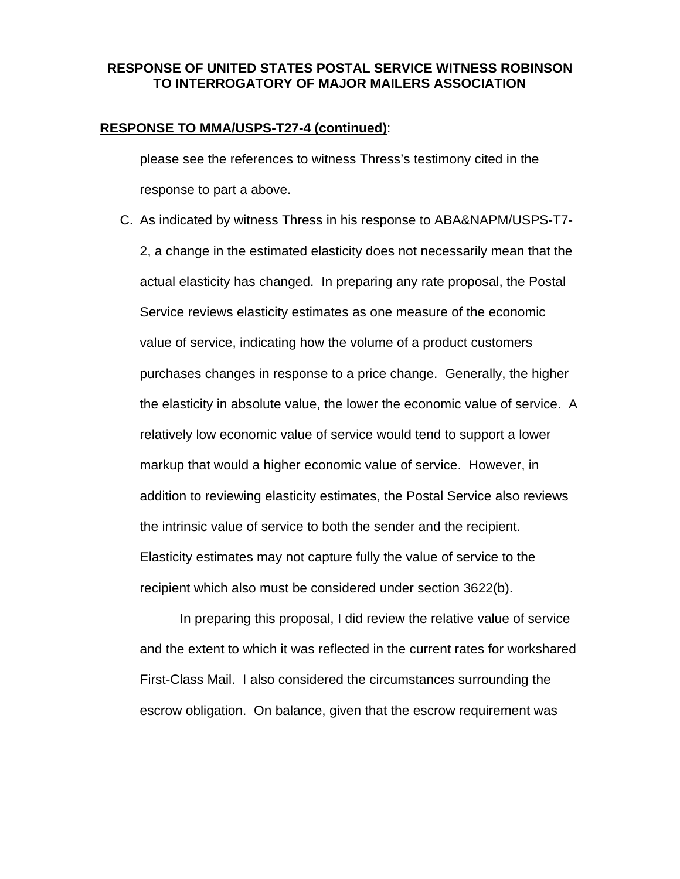#### **RESPONSE TO MMA/USPS-T27-4 (continued)**:

 please see the references to witness Thress's testimony cited in the response to part a above.

C. As indicated by witness Thress in his response to ABA&NAPM/USPS-T7- 2, a change in the estimated elasticity does not necessarily mean that the actual elasticity has changed. In preparing any rate proposal, the Postal Service reviews elasticity estimates as one measure of the economic value of service, indicating how the volume of a product customers purchases changes in response to a price change. Generally, the higher the elasticity in absolute value, the lower the economic value of service. A relatively low economic value of service would tend to support a lower markup that would a higher economic value of service. However, in addition to reviewing elasticity estimates, the Postal Service also reviews the intrinsic value of service to both the sender and the recipient. Elasticity estimates may not capture fully the value of service to the recipient which also must be considered under section 3622(b).

In preparing this proposal, I did review the relative value of service and the extent to which it was reflected in the current rates for workshared First-Class Mail. I also considered the circumstances surrounding the escrow obligation. On balance, given that the escrow requirement was